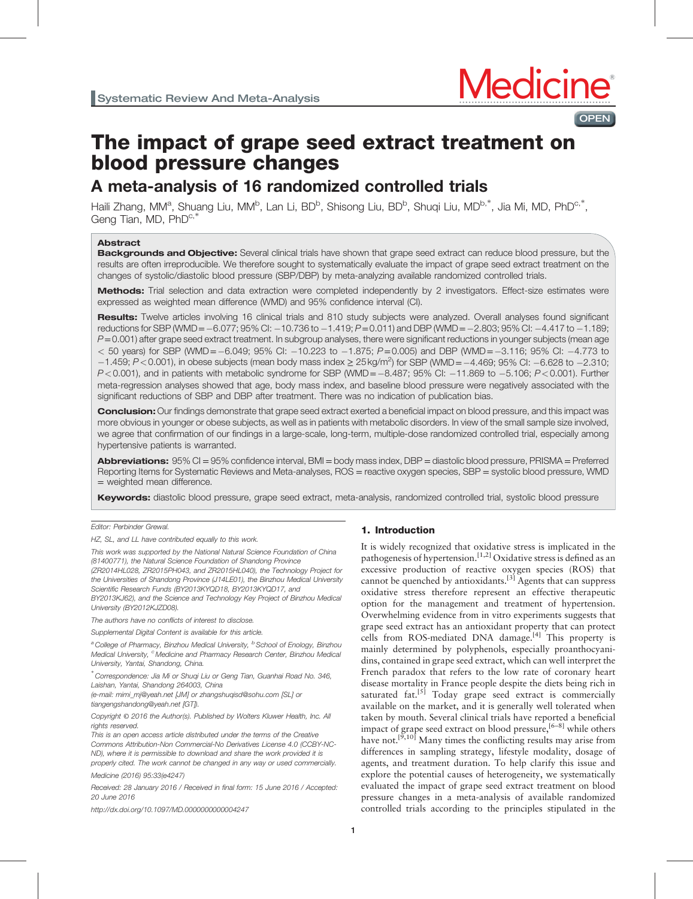



# The impact of grape seed extract treatment on blood pressure changes

# A meta-analysis of 16 randomized controlled trials

Haili Zhang, MM<sup>a</sup>, Shuang Liu, MM<sup>b</sup>, Lan Li, BD<sup>b</sup>, Shisong Liu, BD<sup>b</sup>, Shuqi Liu, MD<sup>b,\*</sup>, Jia Mi, MD, PhD<sup>c,\*</sup>, Geng Tian, MD, PhD<sup>c,\*</sup>

# Abstract

Backgrounds and Objective: Several clinical trials have shown that grape seed extract can reduce blood pressure, but the results are often irreproducible. We therefore sought to systematically evaluate the impact of grape seed extract treatment on the changes of systolic/diastolic blood pressure (SBP/DBP) by meta-analyzing available randomized controlled trials.

Methods: Trial selection and data extraction were completed independently by 2 investigators. Effect-size estimates were expressed as weighted mean difference (WMD) and 95% confidence interval (CI).

Results: Twelve articles involving 16 clinical trials and 810 study subjects were analyzed. Overall analyses found significant reductions for SBP (WMD =  $-6.077$ ; 95% CI:  $-10.736$  to  $-1.419$ ;  $P = 0.011$ ) and DBP (WMD =  $-2.803$ ; 95% CI:  $-4.417$  to  $-1.189$ ;  $P$ =0.001) after grape seed extract treatment. In subgroup analyses, there were significant reductions in younger subjects (mean age  $<$  50 years) for SBP (WMD = -6.049; 95% CI: -10.223 to -1.875; P=0.005) and DBP (WMD = -3.116; 95% CI: -4.773 to  $-1.459$ ; P < 0.001), in obese subjects (mean body mass index ≥ 25 kg/m<sup>2</sup>) for SBP (WMD = -4.469; 95% CI: -6.628 to -2.310;  $P<0.001$ ), and in patients with metabolic syndrome for SBP (WMD= $-8.487$ ; 95% CI:  $-11.869$  to  $-5.106$ ;  $P<0.001$ ). Further meta-regression analyses showed that age, body mass index, and baseline blood pressure were negatively associated with the significant reductions of SBP and DBP after treatment. There was no indication of publication bias.

**Conclusion:** Our findings demonstrate that grape seed extract exerted a beneficial impact on blood pressure, and this impact was more obvious in younger or obese subjects, as well as in patients with metabolic disorders. In view of the small sample size involved, we agree that confirmation of our findings in a large-scale, long-term, multiple-dose randomized controlled trial, especially among hypertensive patients is warranted.

Abbreviations:  $95\%$  CI = 95% confidence interval, BMI = body mass index, DBP = diastolic blood pressure, PRISMA = Preferred Reporting Items for Systematic Reviews and Meta-analyses, ROS = reactive oxygen species, SBP = systolic blood pressure, WMD = weighted mean difference.

Keywords: diastolic blood pressure, grape seed extract, meta-analysis, randomized controlled trial, systolic blood pressure

Editor: Perbinder Grewal.

HZ, SL, and LL have contributed equally to this work.

This work was supported by the National Natural Science Foundation of China (81400771), the Natural Science Foundation of Shandong Province (ZR2014HL028, ZR2015PH043, and ZR2015HL040), the Technology Project for the Universities of Shandong Province (J14LE01), the Binzhou Medical University Scientific Research Funds (BY2013KYQD18, BY2013KYQD17, and BY2013KJ62), and the Science and Technology Key Project of Binzhou Medical

University (BY2012KJZD08). The authors have no conflicts of interest to disclose.

Supplemental Digital Content is available for this article.

 $a^a$ College of Pharmacy, Binzhou Medical University,  $b^b$  School of Enology, Binzhou Medical University, <sup>c</sup> Medicine and Pharmacy Research Center, Binzhou Medical University, Yantai, Shandong, China.

∗ Correspondence: Jia Mi or Shuqi Liu or Geng Tian, Guanhai Road No. 346, Laishan, Yantai, Shandong 264003, China

(e-mail: [mimi\\_mj@yeah.net \[JM\] or zhangshuqisd@sohu.com \[SL\] or](mailto:mimi_mj@yeah.net [JM] or zhangshuqisd@sohu.com [SL] or tiangengshandong@yeah.net [GT]) [tiangengshandong@yeah.net \[GT\]\)](mailto:mimi_mj@yeah.net [JM] or zhangshuqisd@sohu.com [SL] or tiangengshandong@yeah.net [GT]).

Copyright © 2016 the Author(s). Published by Wolters Kluwer Health, Inc. All rights reserved.

This is an open access article distributed under the terms of the Creative Commons Attribution-Non Commercial-No Derivatives License 4.0 (CCBY-NC-ND), where it is permissible to download and share the work provided it is properly cited. The work cannot be changed in any way or used commercially.

Medicine (2016) 95:33(e4247)

Received: 28 January 2016 / Received in final form: 15 June 2016 / Accepted: 20 June 2016

<http://dx.doi.org/10.1097/MD.0000000000004247>

# 1. Introduction

It is widely recognized that oxidative stress is implicated in the pathogenesis of hypertension.<sup>[1,2]</sup> Oxidative stress is defined as an excessive production of reactive oxygen species (ROS) that cannot be quenched by antioxidants.[\[3\]](#page-6-0) Agents that can suppress oxidative stress therefore represent an effective therapeutic option for the management and treatment of hypertension. Overwhelming evidence from in vitro experiments suggests that grape seed extract has an antioxidant property that can protect cells from ROS-mediated DNA damage.[\[4\]](#page-6-0) This property is mainly determined by polyphenols, especially proanthocyanidins, contained in grape seed extract, which can well interpret the French paradox that refers to the low rate of coronary heart disease mortality in France people despite the diets being rich in saturated  $fat.$ <sup>[\[5\]](#page-6-0)</sup> Today grape seed extract is commercially available on the market, and it is generally well tolerated when taken by mouth. Several clinical trials have reported a beneficial impact of grape seed extract on blood pressure, [6-8] while others have not.<sup>[9,10]</sup> Many times the conflicting results may arise from differences in sampling strategy, lifestyle modality, dosage of agents, and treatment duration. To help clarify this issue and explore the potential causes of heterogeneity, we systematically evaluated the impact of grape seed extract treatment on blood pressure changes in a meta-analysis of available randomized controlled trials according to the principles stipulated in the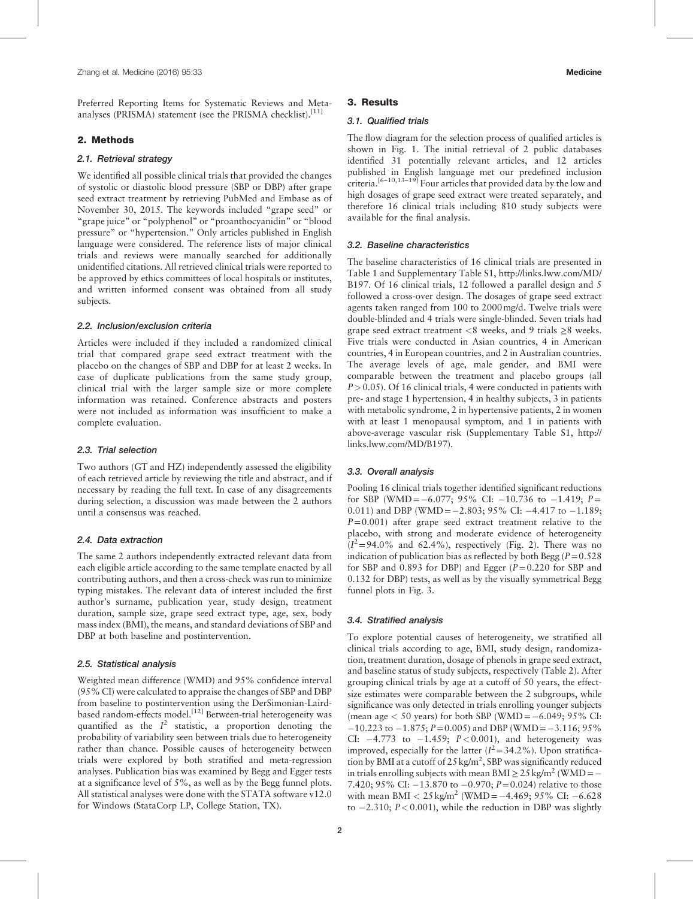Preferred Reporting Items for Systematic Reviews and Meta-analyses (PRISMA) statement (see the PRISMA checklist).<sup>[\[11\]](#page-6-0)</sup>

# 2. Methods

#### 2.1. Retrieval strategy

We identified all possible clinical trials that provided the changes of systolic or diastolic blood pressure (SBP or DBP) after grape seed extract treatment by retrieving PubMed and Embase as of November 30, 2015. The keywords included "grape seed" or "grape juice" or "polyphenol" or "proanthocyanidin" or "blood pressure" or "hypertension." Only articles published in English language were considered. The reference lists of major clinical trials and reviews were manually searched for additionally unidentified citations. All retrieved clinical trials were reported to be approved by ethics committees of local hospitals or institutes, and written informed consent was obtained from all study subjects.

# 2.2. Inclusion/exclusion criteria

Articles were included if they included a randomized clinical trial that compared grape seed extract treatment with the placebo on the changes of SBP and DBP for at least 2 weeks. In case of duplicate publications from the same study group, clinical trial with the larger sample size or more complete information was retained. Conference abstracts and posters were not included as information was insufficient to make a complete evaluation.

# 2.3. Trial selection

Two authors (GT and HZ) independently assessed the eligibility of each retrieved article by reviewing the title and abstract, and if necessary by reading the full text. In case of any disagreements during selection, a discussion was made between the 2 authors until a consensus was reached.

# 2.4. Data extraction

The same 2 authors independently extracted relevant data from each eligible article according to the same template enacted by all contributing authors, and then a cross-check was run to minimize typing mistakes. The relevant data of interest included the first author's surname, publication year, study design, treatment duration, sample size, grape seed extract type, age, sex, body mass index (BMI), the means, and standard deviations of SBP and DBP at both baseline and postintervention.

#### 2.5. Statistical analysis

Weighted mean difference (WMD) and 95% confidence interval (95% CI) were calculated to appraise the changes of SBP and DBP from baseline to postintervention using the DerSimonian-Laird-based random-effects model.<sup>[\[12\]](#page-6-0)</sup> Between-trial heterogeneity was quantified as the  $I^2$  statistic, a proportion denoting the probability of variability seen between trials due to heterogeneity rather than chance. Possible causes of heterogeneity between trials were explored by both stratified and meta-regression analyses. Publication bias was examined by Begg and Egger tests at a significance level of 5%, as well as by the Begg funnel plots. All statistical analyses were done with the STATA software v12.0 for Windows (StataCorp LP, College Station, TX).

#### 3. Results

#### 3.1. Qualified trials

The flow diagram for the selection process of qualified articles is shown in [Fig. 1](#page-2-0). The initial retrieval of 2 public databases identified 31 potentially relevant articles, and 12 articles published in English language met our predefined inclusion criteria.<sup>[6–10,13–19]</sup> Four articles that provided data by the low and high dosages of grape seed extract were treated separately, and therefore 16 clinical trials including 810 study subjects were available for the final analysis.

#### 3.2. Baseline characteristics

The baseline characteristics of 16 clinical trials are presented in [Table 1](#page-2-0) and Supplementary Table S1, [http://links.lww.com/MD/](http://links.lww.com/MD/B197) [B197.](http://links.lww.com/MD/B197) Of 16 clinical trials, 12 followed a parallel design and 5 followed a cross-over design. The dosages of grape seed extract agents taken ranged from 100 to 2000mg/d. Twelve trials were double-blinded and 4 trials were single-blinded. Seven trials had grape seed extract treatment <8 weeks, and 9 trials  $\geq$ 8 weeks. Five trials were conducted in Asian countries, 4 in American countries, 4 in European countries, and 2 in Australian countries. The average levels of age, male gender, and BMI were comparable between the treatment and placebo groups (all  $P > 0.05$ ). Of 16 clinical trials, 4 were conducted in patients with pre- and stage 1 hypertension, 4 in healthy subjects, 3 in patients with metabolic syndrome, 2 in hypertensive patients, 2 in women with at least 1 menopausal symptom, and 1 in patients with above-average vascular risk (Supplementary Table S1, [http://](http://links.lww.com/MD/B197) [links.lww.com/MD/B197](http://links.lww.com/MD/B197)).

# 3.3. Overall analysis

Pooling 16 clinical trials together identified significant reductions for SBP (WMD= $-6.077$ ; 95% CI:  $-10.736$  to  $-1.419$ ; P= 0.011) and DBP (WMD =  $-2.803$ ; 95% CI:  $-4.417$  to  $-1.189$ ;  $P=0.001$ ) after grape seed extract treatment relative to the placebo, with strong and moderate evidence of heterogeneity  $(I^2=94.0\%$  and 62.4%), respectively [\(Fig. 2](#page-3-0)). There was no indication of publication bias as reflected by both Begg ( $P=0.528$ ) for SBP and  $0.893$  for DBP) and Egger ( $P = 0.220$  for SBP and 0.132 for DBP) tests, as well as by the visually symmetrical Begg funnel plots in [Fig. 3](#page-4-0).

# 3.4. Stratified analysis

To explore potential causes of heterogeneity, we stratified all clinical trials according to age, BMI, study design, randomization, treatment duration, dosage of phenols in grape seed extract, and baseline status of study subjects, respectively [\(Table 2\)](#page-5-0). After grouping clinical trials by age at a cutoff of 50 years, the effectsize estimates were comparable between the 2 subgroups, while significance was only detected in trials enrolling younger subjects (mean age  $< 50$  years) for both SBP (WMD =  $-6.049$ ; 95% CI:  $-10.223$  to  $-1.875$ ;  $P = 0.005$ ) and DBP (WMD =  $-3.116$ ; 95% CI:  $-4.773$  to  $-1.459$ ;  $P < 0.001$ ), and heterogeneity was improved, especially for the latter  $(I^2 = 34.2\%)$ . Upon stratification by BMI at a cutoff of 25 kg/m<sup>2</sup>, SBP was significantly reduced in trials enrolling subjects with mean BMI  $\geq 25 \text{ kg/m}^2$  (WMD =  $-$ 7.420; 95% CI:  $-13.870$  to  $-0.970$ ;  $P=0.024$ ) relative to those with mean BMI  $< 25 \text{ kg/m}^2$  (WMD = -4.469; 95% CI: -6.628 to  $-2.310$ ;  $P < 0.001$ ), while the reduction in DBP was slightly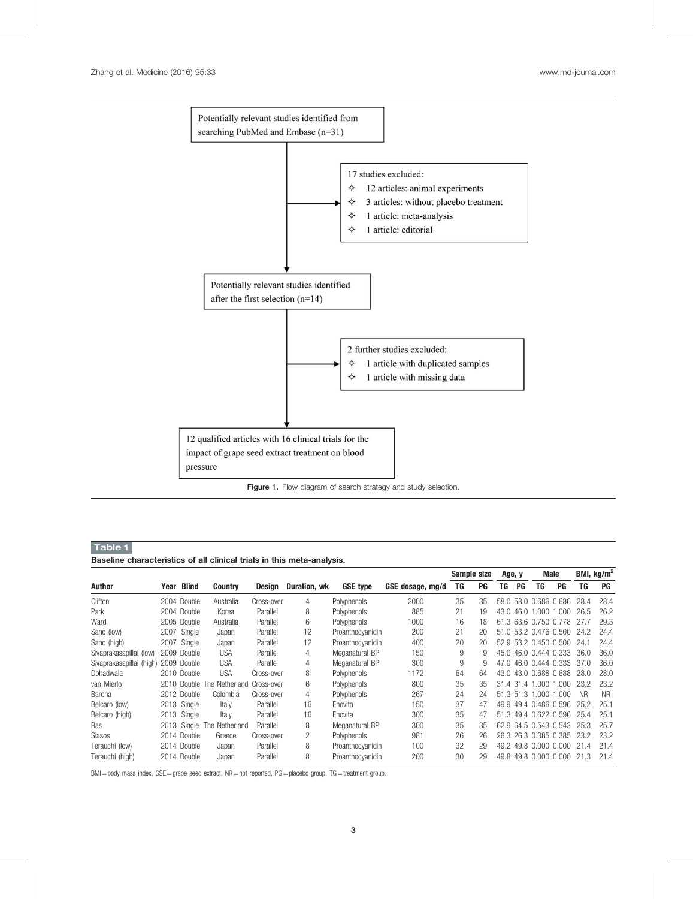<span id="page-2-0"></span>

Figure 1. Flow diagram of search strategy and study selection.

# Table 1

Baseline characteristics of all clinical trials in this meta-analysis.

|                          |      |              |                            |            |              |                  |                  | Sample size |    | Age, y |             |                       | Male                  |           | BMI, $\text{kg/m}^2$ |
|--------------------------|------|--------------|----------------------------|------------|--------------|------------------|------------------|-------------|----|--------|-------------|-----------------------|-----------------------|-----------|----------------------|
| Author                   | Year | <b>Blind</b> | <b>Country</b>             | Design     | Duration, wk | <b>GSE type</b>  | GSE dosage, mg/d | TG          | PG | TG     | PG          | TG                    | <b>PG</b>             | TG        | PG                   |
| Clifton                  |      | 2004 Double  | Australia                  | Cross-over | 4            | Polyphenols      | 2000             | 35          | 35 | 58.0   |             | 58.0 0.686 0.686      |                       | 28.4      | 28.4                 |
| Park                     |      | 2004 Double  | Korea                      | Parallel   | 8            | Polyphenols      | 885              | 21          | 19 | 43.0   | 46.0        | .000.                 | 1.000                 | 26.5      | 26.2                 |
| Ward                     |      | 2005 Double  | Australia                  | Parallel   | 6            | Polyphenols      | 1000             | 16          | 18 |        |             | 61.3 63.6 0.750 0.778 |                       | 27.7      | 29.3                 |
| Sano (low)               | 2007 | Single       | Japan                      | Parallel   | 12           | Proanthocyanidin | 200              | 21          | 20 | 51.0   |             |                       | 53.2 0.476 0.500      | 24.2      | 24.4                 |
| Sano (high)              | 2007 | Single       | Japan                      | Parallel   | 12           | Proanthocyanidin | 400              | 20          | 20 |        |             | 52.9 53.2 0.450 0.500 |                       | 24.1      | 24.4                 |
| Sivaprakasapillai (low)  |      | 2009 Double  | <b>USA</b>                 | Parallel   | 4            | Meganatural BP   | 150              | 9           | 9  | 45.0   |             |                       | 46.0 0.444 0.333      | 36.0      | 36.0                 |
| Sivaprakasapillai (high) |      | 2009 Double  | <b>USA</b>                 | Parallel   | 4            | Meganatural BP   | 300              | 9           | 9  | 47.0   |             |                       | 46.0 0.444 0.333      | 37.0      | 36.0                 |
| Dohadwala                |      | 2010 Double  | <b>USA</b>                 | Cross-over | 8            | Polyphenols      | 1172             | 64          | 64 | 43.0   |             |                       | 43.0 0.688 0.688      | 28.0      | 28.0                 |
| van Mierlo               |      |              | 2010 Double The Netherland | Cross-over | 6            | Polyphenols      | 800              | 35          | 35 |        | 31.4 31.4 1 | $000 -$               | 1.000                 | 23.2      | 23.2                 |
| Barona                   |      | 2012 Double  | Colombia                   | Cross-over | 4            | Polyphenols      | 267              | 24          | 24 |        | 51.3 51.3 1 | 000.1                 | 1.000                 | <b>NR</b> | <b>NR</b>            |
| Belcaro (low)            |      | 2013 Single  | Italy                      | Parallel   | 16           | Enovita          | 150              | 37          | 47 |        |             |                       | 49.9 49.4 0.486 0.596 | 25.2      | 25.1                 |
| Belcaro (high)           |      | 2013 Single  | Italv                      | Parallel   | 16           | Enovita          | 300              | 35          | 47 |        |             |                       | 51.3 49.4 0.622 0.596 | 25.4      | 25.1                 |
| Ras                      |      |              | 2013 Single The Netherland | Parallel   | 8            | Meganatural BP   | 300              | 35          | 35 |        |             |                       | 62.9 64.5 0.543 0.543 | 25.3      | 25.7                 |
| <b>Siasos</b>            |      | 2014 Double  | Greece                     | Cross-over | 2            | Polyphenols      | 981              | 26          | 26 |        |             |                       | 26.3 26.3 0.385 0.385 | 23.2      | 23.2                 |
| Terauchi (low)           |      | 2014 Double  | Japan                      | Parallel   | 8            | Proanthocyanidin | 100              | 32          | 29 |        |             |                       | 49.2 49.8 0.000 0.000 | 21.4      | 21.4                 |
| Terauchi (high)          |      | 2014 Double  | Japan                      | Parallel   | 8            | Proanthocyanidin | 200              | 30          | 29 |        |             |                       | 49.8 49.8 0.000 0.000 | 21.3      | 21.4                 |

BMI=body mass index, GSE=grape seed extract, NR=not reported, PG=placebo group, TG=treatment group.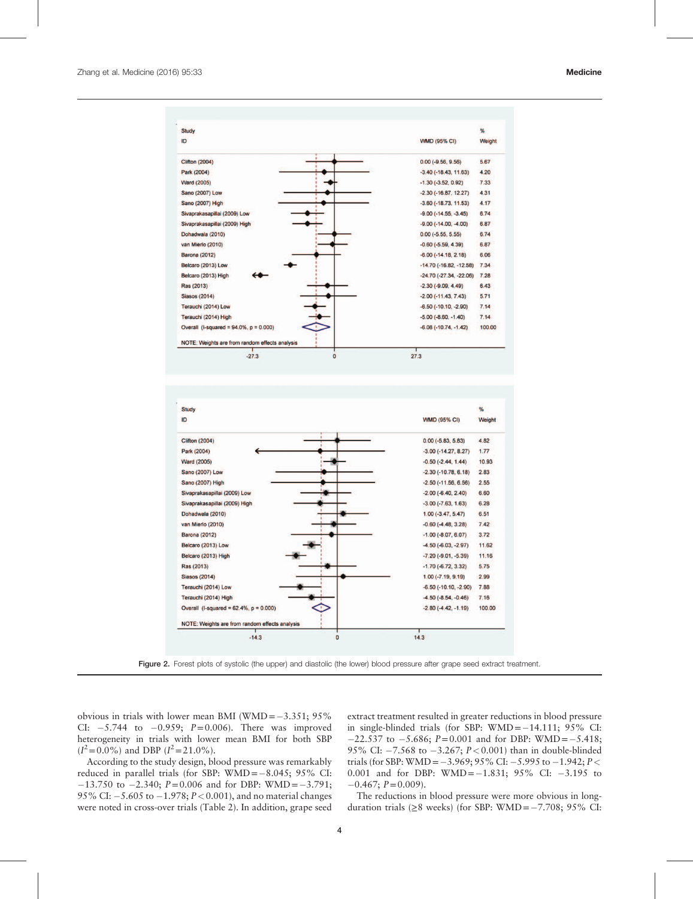<span id="page-3-0"></span>

Figure 2. Forest plots of systolic (the upper) and diastolic (the lower) blood pressure after grape seed extract treatment.

obvious in trials with lower mean BMI (WMD= $-3.351$ ; 95% CI:  $-5.744$  to  $-0.959$ ;  $P=0.006$ ). There was improved heterogeneity in trials with lower mean BMI for both SBP  $(I^2 = 0.0\%)$  and DBP  $(I^2 = 21.0\%).$ 

According to the study design, blood pressure was remarkably reduced in parallel trials (for SBP:  $WMD = -8.045$ ; 95% CI:  $-13.750$  to  $-2.340$ ;  $P=0.006$  and for DBP: WMD =  $-3.791$ ; 95% CI:  $-5.605$  to  $-1.978$ ;  $P < 0.001$ ), and no material changes were noted in cross-over trials [\(Table 2\)](#page-5-0). In addition, grape seed extract treatment resulted in greater reductions in blood pressure in single-blinded trials (for SBP:  $WMD = -14.111$ ; 95% CI:  $-22.537$  to  $-5.686$ ;  $P = 0.001$  and for DBP: WMD =  $-5.418$ ; 95% CI:  $-7.568$  to  $-3.267$ ;  $P < 0.001$ ) than in double-blinded trials (for SBP: WMD =  $-3.969$ ; 95% CI:  $-5.995$  to  $-1.942$ ;  $P <$ 0.001 and for DBP: WMD =  $-1.831$ ; 95% CI:  $-3.195$  to  $-0.467; P=0.009$ ).

The reductions in blood pressure were more obvious in longduration trials ( $\geq 8$  weeks) (for SBP: WMD = -7.708; 95% CI: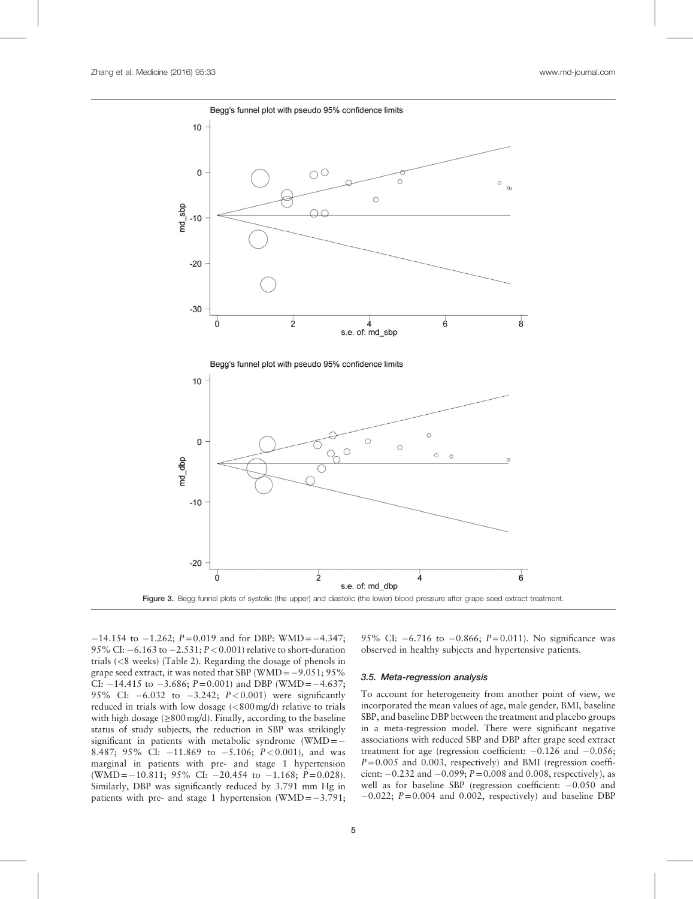<span id="page-4-0"></span>



 $-14.154$  to  $-1.262$ ;  $P=0.019$  and for DBP: WMD =  $-4.347$ ; 95% CI:  $-6.163$  to  $-2.531$ ;  $P < 0.001$ ) relative to short-duration trials (<8 weeks) [\(Table 2](#page-5-0)). Regarding the dosage of phenols in grape seed extract, it was noted that SBP (WMD =  $-9.051$ ; 95% CI:  $-14.415$  to  $-3.686$ ;  $P = 0.001$ ) and DBP (WMD =  $-4.637$ ; 95% CI:  $-6.032$  to  $-3.242$ ;  $P < 0.001$ ) were significantly reduced in trials with low dosage (<800mg/d) relative to trials with high dosage  $(\geq 800 \text{ mg/d})$ . Finally, according to the baseline status of study subjects, the reduction in SBP was strikingly significant in patients with metabolic syndrome (WMD =  $-$ 8.487; 95% CI:  $-11.869$  to  $-5.106$ ;  $P < 0.001$ ), and was marginal in patients with pre- and stage 1 hypertension (WMD =  $-10.811$ ; 95% CI:  $-20.454$  to  $-1.168$ ;  $P=0.028$ ). Similarly, DBP was significantly reduced by 3.791 mm Hg in patients with pre- and stage 1 hypertension (WMD= $-3.791$ ;

95% CI:  $-6.716$  to  $-0.866$ ;  $P=0.011$ ). No significance was observed in healthy subjects and hypertensive patients.

#### 3.5. Meta-regression analysis

To account for heterogeneity from another point of view, we incorporated the mean values of age, male gender, BMI, baseline SBP, and baseline DBP between the treatment and placebo groups in a meta-regression model. There were significant negative associations with reduced SBP and DBP after grape seed extract treatment for age (regression coefficient:  $-0.126$  and  $-0.056$ ;  $P=0.005$  and 0.003, respectively) and BMI (regression coefficient:  $-0.232$  and  $-0.099$ ;  $P=0.008$  and 0.008, respectively), as well as for baseline SBP (regression coefficient:  $-0.050$  and  $-0.022$ ;  $P = 0.004$  and 0.002, respectively) and baseline DBP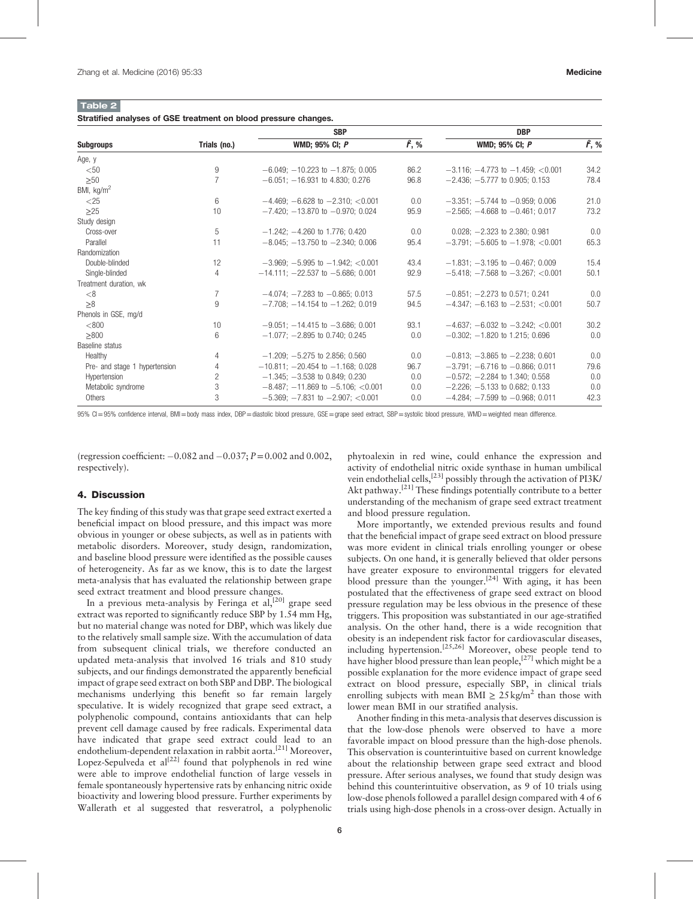<span id="page-5-0"></span>Table 2 Stratified analyses of GSE treatment on blood pressure changes.

|                               |                | <b>SBP</b>                                | <b>DBP</b>    |                                             |               |  |
|-------------------------------|----------------|-------------------------------------------|---------------|---------------------------------------------|---------------|--|
| <b>Subgroups</b>              | Trials (no.)   | <b>WMD</b> ; 95% CI; P                    | $\hat{r}$ , % | <b>WMD</b> ; 95% CI; P                      | $\hat{r}$ , % |  |
| Age, y                        |                |                                           |               |                                             |               |  |
| $50$                          | 9              | $-6.049$ ; $-10.223$ to $-1.875$ ; 0.005  | 86.2          | $-3.116$ ; $-4.773$ to $-1.459$ ; <0.001    | 34.2          |  |
| >50                           | $\overline{7}$ | $-6.051$ : $-16.931$ to 4.830; 0.276      | 96.8          | $-2.436$ : $-5.777$ to 0.905: 0.153         | 78.4          |  |
| BMI, $kg/m2$                  |                |                                           |               |                                             |               |  |
| $<$ 25                        | 6              | $-4.469$ ; $-6.628$ to $-2.310$ ; <0.001  | 0.0           | $-3.351$ ; $-5.744$ to $-0.959$ ; 0.006     | 21.0          |  |
| >25                           | 10             | $-7.420$ ; $-13.870$ to $-0.970$ ; 0.024  | 95.9          | $-2.565$ ; $-4.668$ to $-0.461$ ; 0.017     | 73.2          |  |
| Study design                  |                |                                           |               |                                             |               |  |
| Cross-over                    | 5              | $-1.242$ ; $-4.260$ to 1.776; 0.420       | 0.0           | $0.028$ ; $-2.323$ to 2.380; 0.981          | 0.0           |  |
| Parallel                      | 11             | $-8.045$ : $-13.750$ to $-2.340$ : 0.006  | 95.4          | $-3.791; -5.605$ to $-1.978; < 0.001$       | 65.3          |  |
| Randomization                 |                |                                           |               |                                             |               |  |
| Double-blinded                | 12             | $-3.969$ : $-5.995$ to $-1.942$ : <0.001  | 43.4          | $-1.831: -3.195$ to $-0.467: 0.009$         | 15.4          |  |
| Single-blinded                | $\overline{4}$ | $-14.111: -22.537$ to $-5.686: 0.001$     | 92.9          | $-5.418$ : $-7.568$ to $-3.267$ : <0.001    | 50.1          |  |
| Treatment duration, wk        |                |                                           |               |                                             |               |  |
| < 8                           | $\overline{7}$ | $-4.074$ ; $-7.283$ to $-0.865$ ; 0.013   | 57.5          | $-0.851: -2.273$ to 0.571: 0.241            | 0.0           |  |
| >8                            | 9              | $-7.708$ : $-14.154$ to $-1.262$ : 0.019  | 94.5          | $-4.347$ : $-6.163$ to $-2.531$ : <0.001    | 50.7          |  |
| Phenols in GSE, mg/d          |                |                                           |               |                                             |               |  |
| < 800                         | 10             | $-9.051$ ; $-14.415$ to $-3.686$ ; 0.001  | 93.1          | $-4.637$ ; $-6.032$ to $-3.242$ ; $< 0.001$ | 30.2          |  |
| >800                          | 6              | $-1.077$ ; $-2.895$ to 0.740; 0.245       | 0.0           | $-0.302$ ; $-1.820$ to 1.215; 0.696         | 0.0           |  |
| Baseline status               |                |                                           |               |                                             |               |  |
| Healthy                       | 4              | $-1.209$ ; $-5.275$ to 2.856; 0.560       | 0.0           | $-0.813$ ; $-3.865$ to $-2.238$ ; 0.601     | 0.0           |  |
| Pre- and stage 1 hypertension | $\overline{4}$ | $-10.811: -20.454$ to $-1.168: 0.028$     | 96.7          | $-3.791: -6.716$ to $-0.866: 0.011$         | 79.6          |  |
| Hypertension                  | $\overline{c}$ | $-1.345$ : $-3.538$ to 0.849; 0.230       | 0.0           | $-0.572$ : $-2.284$ to 1.340; 0.558         | 0.0           |  |
| Metabolic syndrome            | 3              | $-8.487$ ; $-11.869$ to $-5.106$ ; <0.001 | 0.0           | $-2.226$ ; $-5.133$ to 0.682; 0.133         | 0.0           |  |
| Others                        | 3              | $-5.369$ ; $-7.831$ to $-2.907$ ; <0.001  | 0.0           | $-4.284$ ; $-7.599$ to $-0.968$ ; 0.011     | 42.3          |  |

95% CI=95% confidence interval, BMI=body mass index, DBP=diastolic blood pressure, GSE=grape seed extract, SBP=systolic blood pressure, WMD=weighted mean difference.

(regression coefficient:  $-0.082$  and  $-0.037$ ;  $P = 0.002$  and 0.002, respectively).

# 4. Discussion

The key finding of this study was that grape seed extract exerted a beneficial impact on blood pressure, and this impact was more obvious in younger or obese subjects, as well as in patients with metabolic disorders. Moreover, study design, randomization, and baseline blood pressure were identified as the possible causes of heterogeneity. As far as we know, this is to date the largest meta-analysis that has evaluated the relationship between grape seed extract treatment and blood pressure changes.

In a previous meta-analysis by Feringa et al,  $[20]$  grape seed extract was reported to significantly reduce SBP by 1.54 mm Hg, but no material change was noted for DBP, which was likely due to the relatively small sample size. With the accumulation of data from subsequent clinical trials, we therefore conducted an updated meta-analysis that involved 16 trials and 810 study subjects, and our findings demonstrated the apparently beneficial impact of grape seed extract on both SBP and DBP. The biological mechanisms underlying this benefit so far remain largely speculative. It is widely recognized that grape seed extract, a polyphenolic compound, contains antioxidants that can help prevent cell damage caused by free radicals. Experimental data have indicated that grape seed extract could lead to an endothelium-dependent relaxation in rabbit aorta.<sup>[\[21\]](#page-6-0)</sup> Moreover, Lopez-Sepulveda et  $al^{[22]}$  $al^{[22]}$  $al^{[22]}$  found that polyphenols in red wine were able to improve endothelial function of large vessels in female spontaneously hypertensive rats by enhancing nitric oxide bioactivity and lowering blood pressure. Further experiments by Wallerath et al suggested that resveratrol, a polyphenolic

phytoalexin in red wine, could enhance the expression and activity of endothelial nitric oxide synthase in human umbilical vein endothelial cells,[\[23\]](#page-6-0) possibly through the activation of PI3K/ Akt pathway.<sup>[\[21\]](#page-6-0)</sup> These findings potentially contribute to a better understanding of the mechanism of grape seed extract treatment and blood pressure regulation.

More importantly, we extended previous results and found that the beneficial impact of grape seed extract on blood pressure was more evident in clinical trials enrolling younger or obese subjects. On one hand, it is generally believed that older persons have greater exposure to environmental triggers for elevated blood pressure than the younger.<sup>[\[24\]](#page-6-0)</sup> With aging, it has been postulated that the effectiveness of grape seed extract on blood pressure regulation may be less obvious in the presence of these triggers. This proposition was substantiated in our age-stratified analysis. On the other hand, there is a wide recognition that obesity is an independent risk factor for cardiovascular diseases, including hypertension.<sup>[25,26]</sup> Moreover, obese people tend to have higher blood pressure than lean people,  $[27]$  which might be a possible explanation for the more evidence impact of grape seed extract on blood pressure, especially SBP, in clinical trials enrolling subjects with mean BMI  $\geq 25 \text{ kg/m}^2$  than those with lower mean BMI in our stratified analysis.

Another finding in this meta-analysis that deserves discussion is that the low-dose phenols were observed to have a more favorable impact on blood pressure than the high-dose phenols. This observation is counterintuitive based on current knowledge about the relationship between grape seed extract and blood pressure. After serious analyses, we found that study design was behind this counterintuitive observation, as 9 of 10 trials using low-dose phenols followed a parallel design compared with 4 of 6 trials using high-dose phenols in a cross-over design. Actually in